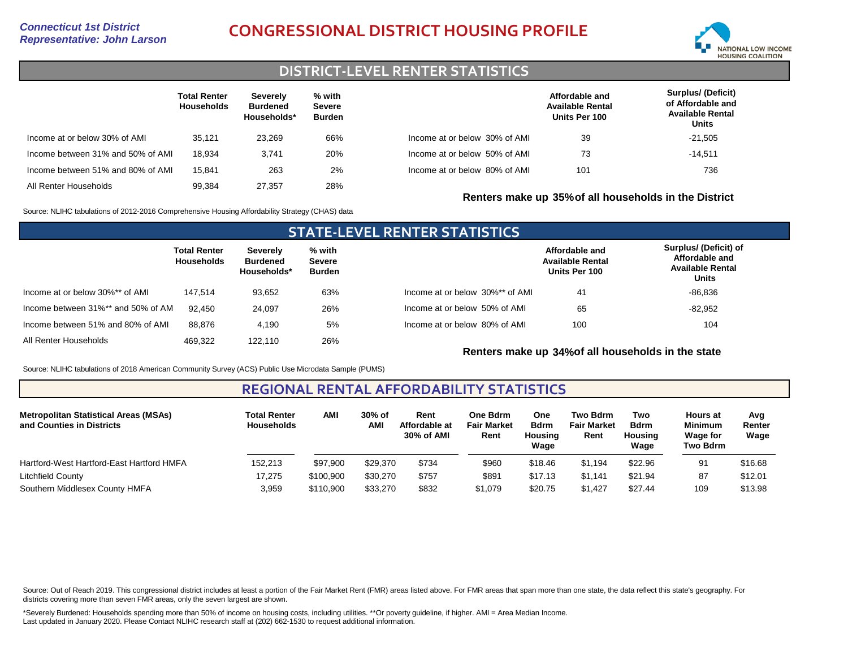# *Representative: John Larson* **CONGRESSIONAL DISTRICT HOUSING PROFILE**



### **DISTRICT-LEVEL RENTER STATISTICS**

|                                   | <b>Total Renter</b><br><b>Households</b> | Severely<br><b>Burdened</b><br>Households* | % with<br><b>Severe</b><br>Burden |                               | Affordable and<br><b>Available Rental</b><br>Units Per 100 | <b>Surplus/ (Deficit)</b><br>of Affordable and<br><b>Available Rental</b><br>Units |
|-----------------------------------|------------------------------------------|--------------------------------------------|-----------------------------------|-------------------------------|------------------------------------------------------------|------------------------------------------------------------------------------------|
| Income at or below 30% of AMI     | 35.121                                   | 23.269                                     | 66%                               | Income at or below 30% of AMI | 39                                                         | $-21,505$                                                                          |
| Income between 31% and 50% of AMI | 18.934                                   | 3.741                                      | 20%                               | Income at or below 50% of AMI | 73                                                         | $-14,511$                                                                          |
| Income between 51% and 80% of AMI | 15.841                                   | 263                                        | 2%                                | Income at or below 80% of AMI | 101                                                        | 736                                                                                |
| All Renter Households             | 99.384                                   | 27.357                                     | 28%                               |                               |                                                            |                                                                                    |

Source: NLIHC tabulations of 2012-2016 Comprehensive Housing Affordability Strategy (CHAS) data

### **STATE-LEVEL RENTER STATISTICS Total Renter Households Severely Burdened Households\* % with Severe Burden** Income at or below 30%\*\* of AMI Income between 31%\*\* and 50% of AMI All Renter Households 147,514 92,450 469,322 93,652 24,097 122,110 63% 26% 26% Income between 51% and 80% of AMI 88,876 4,190 5% Income at or below 30%\*\* of AMI Income at or below 50% of AMI Income at or below 80% of AMI **Affordable and Available Rental Units Per 100 Surplus/ (Deficit) of Affordable and Available Rental Units** 41 100 65 104 -82,952 -86,836

**Renters make up 34%of all households in the state**

**Renters make up 35%of all households in the District**

Source: NLIHC tabulations of 2018 American Community Survey (ACS) Public Use Microdata Sample (PUMS)

### **REGIONAL RENTAL AFFORDABILITY STATISTICS**

| <b>Metropolitan Statistical Areas (MSAs)</b><br>and Counties in Districts | <b>Total Renter</b><br><b>Households</b> | <b>AMI</b> | 30% of<br><b>AMI</b> | Rent<br>Affordable at<br>30% of AMI | One Bdrm<br><b>Fair Market</b><br>Rent | One<br><b>Bdrm</b><br>Housing<br>Wage | Two Bdrm<br><b>Fair Market</b><br>Rent | Two<br><b>Bdrm</b><br>Housing<br>Wage | <b>Hours at</b><br><b>Minimum</b><br><b>Wage for</b><br>Two Bdrm | Avg<br>Renter<br>Wage |
|---------------------------------------------------------------------------|------------------------------------------|------------|----------------------|-------------------------------------|----------------------------------------|---------------------------------------|----------------------------------------|---------------------------------------|------------------------------------------------------------------|-----------------------|
| Hartford-West Hartford-East Hartford HMFA                                 | 152.213                                  | \$97,900   | \$29,370             | \$734                               | \$960                                  | \$18.46                               | \$1.194                                | \$22.96                               | 91                                                               | \$16.68               |
| Litchfield County                                                         | 17,275                                   | \$100.900  | \$30,270             | \$757                               | \$89'                                  | \$17.13                               | \$1.141                                | \$21.94                               | 87                                                               | \$12.01               |
| Southern Middlesex County HMFA                                            | 3,959                                    | \$110,900  | \$33,270             | \$832                               | \$1,079                                | \$20.75                               | \$1.427                                | \$27.44                               | 109                                                              | \$13.98               |

Source: Out of Reach 2019. This congressional district includes at least a portion of the Fair Market Rent (FMR) areas listed above. For FMR areas that span more than one state, the data reflect this state's geography. For districts covering more than seven FMR areas, only the seven largest are shown.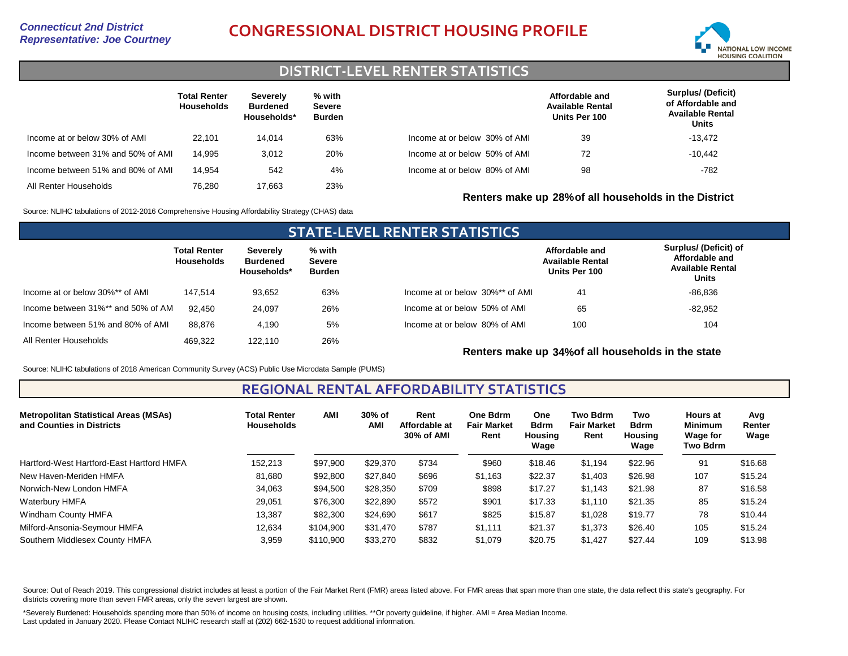# *Representative: Joe Courtney* **CONGRESSIONAL DISTRICT HOUSING PROFILE**



## **DISTRICT-LEVEL RENTER STATISTICS**

|                                   | <b>Total Renter</b><br><b>Households</b> | Severely<br><b>Burdened</b><br>Households* | % with<br><b>Severe</b><br>Burden |                               | Affordable and<br><b>Available Rental</b><br>Units Per 100 | <b>Surplus/ (Deficit)</b><br>of Affordable and<br><b>Available Rental</b><br>Units |
|-----------------------------------|------------------------------------------|--------------------------------------------|-----------------------------------|-------------------------------|------------------------------------------------------------|------------------------------------------------------------------------------------|
| Income at or below 30% of AMI     | 22.101                                   | 14.014                                     | 63%                               | Income at or below 30% of AMI | 39                                                         | $-13,472$                                                                          |
| Income between 31% and 50% of AMI | 14.995                                   | 3.012                                      | 20%                               | Income at or below 50% of AMI | 72                                                         | $-10.442$                                                                          |
| Income between 51% and 80% of AMI | 14.954                                   | 542                                        | 4%                                | Income at or below 80% of AMI | 98                                                         | $-782$                                                                             |
| All Renter Households             | 76.280                                   | 17.663                                     | 23%                               |                               |                                                            |                                                                                    |

Source: NLIHC tabulations of 2012-2016 Comprehensive Housing Affordability Strategy (CHAS) data

### **STATE-LEVEL RENTER STATISTICS Total Renter Households Severely Burdened Households\* % with Severe Burden** Income at or below 30%\*\* of AMI Income between 31%\*\* and 50% of AMI All Renter Households 147,514 92,450 469,322 93,652 24,097 122,110 63% 26% 26% Income between 51% and 80% of AMI 88,876 4,190 5% Income at or below 30%\*\* of AMI Income at or below 50% of AMI Income at or below 80% of AMI **Affordable and Available Rental Units Per 100 Surplus/ (Deficit) of Affordable and Available Rental Units** 41 100 65 104 -82,952 -86,836

**Renters make up 34%of all households in the state**

**Renters make up 28%of all households in the District**

Source: NLIHC tabulations of 2018 American Community Survey (ACS) Public Use Microdata Sample (PUMS)

**REGIONAL RENTAL AFFORDABILITY STATISTICS**

| <b>Metropolitan Statistical Areas (MSAs)</b><br>and Counties in Districts | Total Renter<br><b>Households</b> | <b>AMI</b> | 30% of<br>AMI | Rent<br>Affordable at<br>30% of AMI | <b>One Bdrm</b><br><b>Fair Market</b><br>Rent | <b>One</b><br><b>Bdrm</b><br>Housing<br>Wage | <b>Two Bdrm</b><br><b>Fair Market</b><br>Rent | Two<br><b>Bdrm</b><br><b>Housing</b><br>Wage | <b>Hours at</b><br><b>Minimum</b><br>Wage for<br>Two Bdrm | Avg<br>Renter<br>Wage |
|---------------------------------------------------------------------------|-----------------------------------|------------|---------------|-------------------------------------|-----------------------------------------------|----------------------------------------------|-----------------------------------------------|----------------------------------------------|-----------------------------------------------------------|-----------------------|
| Hartford-West Hartford-East Hartford HMFA                                 | 152,213                           | \$97,900   | \$29,370      | \$734                               | \$960                                         | \$18.46                                      | \$1,194                                       | \$22.96                                      | 91                                                        | \$16.68               |
| New Haven-Meriden HMFA                                                    | 81.680                            | \$92,800   | \$27,840      | \$696                               | \$1,163                                       | \$22.37                                      | \$1,403                                       | \$26.98                                      | 107                                                       | \$15.24               |
| Norwich-New London HMFA                                                   | 34,063                            | \$94,500   | \$28,350      | \$709                               | \$898                                         | \$17.27                                      | \$1,143                                       | \$21.98                                      | 87                                                        | \$16.58               |
| Waterbury HMFA                                                            | 29,051                            | \$76,300   | \$22,890      | \$572                               | \$901                                         | \$17.33                                      | \$1,110                                       | \$21.35                                      | 85                                                        | \$15.24               |
| Windham County HMFA                                                       | 13,387                            | \$82,300   | \$24.690      | \$617                               | \$825                                         | \$15.87                                      | \$1,028                                       | \$19.77                                      | 78                                                        | \$10.44               |
| Milford-Ansonia-Seymour HMFA                                              | 12.634                            | \$104.900  | \$31,470      | \$787                               | \$1.111                                       | \$21.37                                      | \$1,373                                       | \$26.40                                      | 105                                                       | \$15.24               |
| Southern Middlesex County HMFA                                            | 3,959                             | \$110,900  | \$33,270      | \$832                               | \$1.079                                       | \$20.75                                      | \$1.427                                       | \$27.44                                      | 109                                                       | \$13.98               |

Source: Out of Reach 2019. This congressional district includes at least a portion of the Fair Market Rent (FMR) areas listed above. For FMR areas that span more than one state, the data reflect this state's geography. For districts covering more than seven FMR areas, only the seven largest are shown.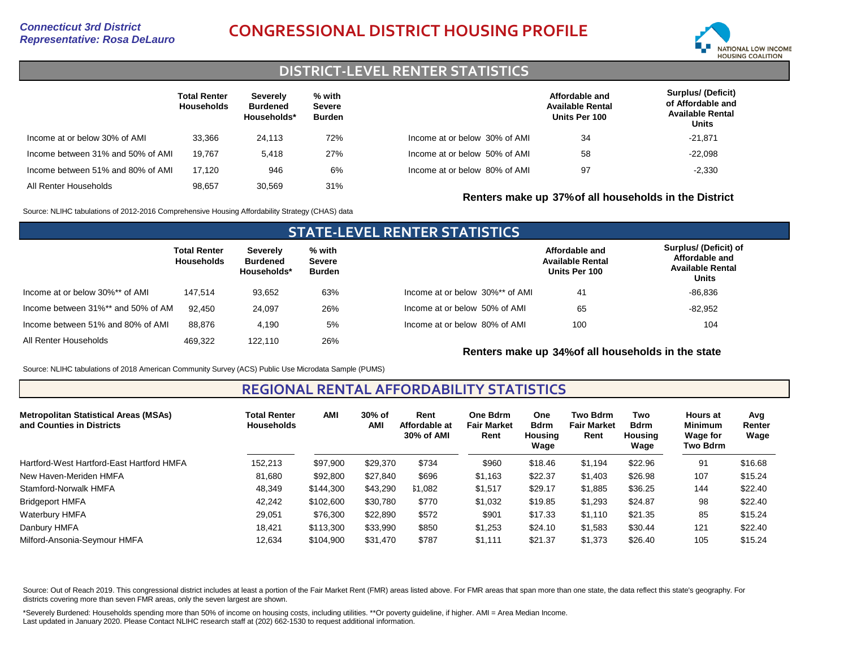# *Representative: Rosa DeLauro* **CONGRESSIONAL DISTRICT HOUSING PROFILE**



### **DISTRICT-LEVEL RENTER STATISTICS**

|                                   | <b>Total Renter</b><br><b>Households</b> | Severely<br><b>Burdened</b><br>Households* | % with<br><b>Severe</b><br><b>Burden</b> |                               | Affordable and<br><b>Available Rental</b><br>Units Per 100 | <b>Surplus/ (Deficit)</b><br>of Affordable and<br><b>Available Rental</b><br>Units |
|-----------------------------------|------------------------------------------|--------------------------------------------|------------------------------------------|-------------------------------|------------------------------------------------------------|------------------------------------------------------------------------------------|
| Income at or below 30% of AMI     | 33.366                                   | 24.113                                     | 72%                                      | Income at or below 30% of AMI | 34                                                         | $-21,871$                                                                          |
| Income between 31% and 50% of AMI | 19.767                                   | 5.418                                      | 27%                                      | Income at or below 50% of AMI | 58                                                         | $-22,098$                                                                          |
| Income between 51% and 80% of AMI | 17.120                                   | 946                                        | 6%                                       | Income at or below 80% of AMI | 97                                                         | $-2,330$                                                                           |
| All Renter Households             | 98.657                                   | 30.569                                     | 31%                                      |                               | Renters make up 37% of all households in the District      |                                                                                    |

Source: NLIHC tabulations of 2012-2016 Comprehensive Housing Affordability Strategy (CHAS) data

### **STATE-LEVEL RENTER STATISTICS Total Renter Households Severely Burdened Households\* % with Severe Burden** Income at or below 30%\*\* of AMI Income between 31%\*\* and 50% of AMI All Renter Households 147,514 92,450 469,322 93,652 24,097 122,110 63% 26% 26% Income between 51% and 80% of AMI 88,876 4,190 5% Income at or below 30%\*\* of AMI Income at or below 50% of AMI Income at or below 80% of AMI **Affordable and Available Rental Units Per 100 Surplus/ (Deficit) of Affordable and Available Rental Units** 41 100 65 104 -82,952 -86,836

**Renters make up 34%of all households in the state**

Source: NLIHC tabulations of 2018 American Community Survey (ACS) Public Use Microdata Sample (PUMS)

### **REGIONAL RENTAL AFFORDABILITY STATISTICS**

| <b>Metropolitan Statistical Areas (MSAs)</b><br>and Counties in Districts | <b>Total Renter</b><br><b>Households</b> | AMI       | 30% of<br>AMI | Rent<br>Affordable at<br>30% of AMI | <b>One Bdrm</b><br><b>Fair Market</b><br>Rent | <b>One</b><br><b>Bdrm</b><br>Housing<br>Wage | <b>Two Bdrm</b><br><b>Fair Market</b><br>Rent | Two<br><b>Bdrm</b><br>Housina<br>Wage | <b>Hours</b> at<br><b>Minimum</b><br><b>Wage for</b><br>Two Bdrm | Avg<br>Renter<br>Wage |
|---------------------------------------------------------------------------|------------------------------------------|-----------|---------------|-------------------------------------|-----------------------------------------------|----------------------------------------------|-----------------------------------------------|---------------------------------------|------------------------------------------------------------------|-----------------------|
| Hartford-West Hartford-East Hartford HMFA                                 | 152.213                                  | \$97,900  | \$29,370      | \$734                               | \$960                                         | \$18.46                                      | \$1,194                                       | \$22.96                               | 91                                                               | \$16.68               |
| New Haven-Meriden HMFA                                                    | 81,680                                   | \$92,800  | \$27,840      | \$696                               | \$1,163                                       | \$22.37                                      | \$1,403                                       | \$26.98                               | 107                                                              | \$15.24               |
| Stamford-Norwalk HMFA                                                     | 48,349                                   | \$144,300 | \$43.290      | \$1,082                             | \$1,517                                       | \$29.17                                      | \$1,885                                       | \$36.25                               | 144                                                              | \$22.40               |
| <b>Bridgeport HMFA</b>                                                    | 42.242                                   | \$102,600 | \$30,780      | \$770                               | \$1,032                                       | \$19.85                                      | \$1,293                                       | \$24.87                               | 98                                                               | \$22.40               |
| Waterbury HMFA                                                            | 29,051                                   | \$76,300  | \$22,890      | \$572                               | \$901                                         | \$17.33                                      | \$1,110                                       | \$21.35                               | 85                                                               | \$15.24               |
| Danbury HMFA                                                              | 18.421                                   | \$113,300 | \$33,990      | \$850                               | \$1.253                                       | \$24.10                                      | \$1,583                                       | \$30.44                               | 121                                                              | \$22.40               |
| Milford-Ansonia-Seymour HMFA                                              | 12,634                                   | \$104,900 | \$31,470      | \$787                               | \$1,111                                       | \$21.37                                      | \$1,373                                       | \$26.40                               | 105                                                              | \$15.24               |

Source: Out of Reach 2019. This congressional district includes at least a portion of the Fair Market Rent (FMR) areas listed above. For FMR areas that span more than one state, the data reflect this state's geography. For districts covering more than seven FMR areas, only the seven largest are shown.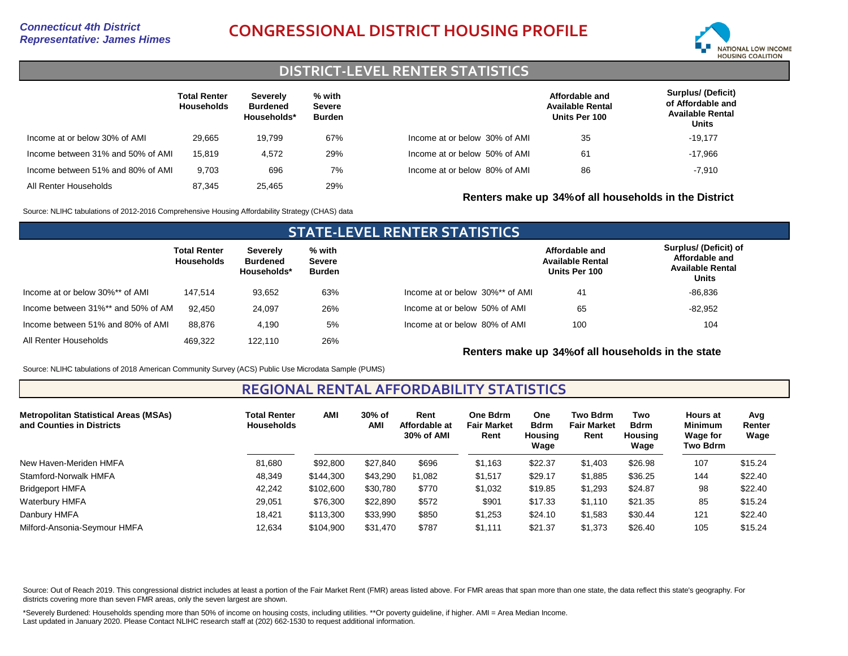# *Representative: James Himes* **CONGRESSIONAL DISTRICT HOUSING PROFILE**



## **DISTRICT-LEVEL RENTER STATISTICS**

|                                   | <b>Total Renter</b><br><b>Households</b> | Severely<br><b>Burdened</b><br>Households* | % with<br><b>Severe</b><br>Burden |                               | Affordable and<br><b>Available Rental</b><br>Units Per 100 | <b>Surplus/ (Deficit)</b><br>of Affordable and<br><b>Available Rental</b><br>Units |
|-----------------------------------|------------------------------------------|--------------------------------------------|-----------------------------------|-------------------------------|------------------------------------------------------------|------------------------------------------------------------------------------------|
| Income at or below 30% of AMI     | 29.665                                   | 19.799                                     | 67%                               | Income at or below 30% of AMI | 35                                                         | $-19.177$                                                                          |
| Income between 31% and 50% of AMI | 15.819                                   | 4.572                                      | 29%                               | Income at or below 50% of AMI | 61                                                         | $-17.966$                                                                          |
| Income between 51% and 80% of AMI | 9.703                                    | 696                                        | 7%                                | Income at or below 80% of AMI | 86                                                         | $-7,910$                                                                           |
| All Renter Households             | 87.345                                   | 25.465                                     | 29%                               |                               | Renters make up 34% of all households in the District      |                                                                                    |

Source: NLIHC tabulations of 2012-2016 Comprehensive Housing Affordability Strategy (CHAS) data

### **STATE-LEVEL RENTER STATISTICS Total Renter Households Severely Burdened Households\* % with Severe Burden** Income at or below 30%\*\* of AMI Income between 31%\*\* and 50% of AMI All Renter Households 147,514 92,450 469,322 93,652 24,097 122,110 63% 26% 26% Income between 51% and 80% of AMI 88,876 4,190 5% Income at or below 30%\*\* of AMI Income at or below 50% of AMI Income at or below 80% of AMI **Affordable and Available Rental Units Per 100 Surplus/ (Deficit) of Affordable and Available Rental Units** 41 100 65 104 -82,952 -86,836

**Renters make up 34%of all households in the state**

Source: NLIHC tabulations of 2018 American Community Survey (ACS) Public Use Microdata Sample (PUMS)

**REGIONAL RENTAL AFFORDABILITY STATISTICS**

| <b>Metropolitan Statistical Areas (MSAs)</b><br>and Counties in Districts | <b>Total Renter</b><br><b>Households</b> | <b>AMI</b> | 30% of<br>AMI | Rent<br>Affordable at<br>30% of AMI | One Bdrm<br><b>Fair Market</b><br>Rent | One<br><b>Bdrm</b><br>Housing<br>Wage | <b>Two Bdrm</b><br><b>Fair Market</b><br>Rent | Two<br><b>Bdrm</b><br>Housing<br>Wage | <b>Hours</b> at<br><b>Minimum</b><br><b>Wage for</b><br>Two Bdrm | Avg<br>Renter<br>Wage |
|---------------------------------------------------------------------------|------------------------------------------|------------|---------------|-------------------------------------|----------------------------------------|---------------------------------------|-----------------------------------------------|---------------------------------------|------------------------------------------------------------------|-----------------------|
| New Haven-Meriden HMFA                                                    | 81.680                                   | \$92,800   | \$27.840      | \$696                               | \$1,163                                | \$22.37                               | \$1,403                                       | \$26.98                               | 107                                                              | \$15.24               |
| Stamford-Norwalk HMFA                                                     | 48,349                                   | \$144,300  | \$43,290      | \$1,082                             | \$1,517                                | \$29.17                               | \$1,885                                       | \$36.25                               | 144                                                              | \$22.40               |
| <b>Bridgeport HMFA</b>                                                    | 42.242                                   | \$102,600  | \$30,780      | \$770                               | \$1,032                                | \$19.85                               | \$1,293                                       | \$24.87                               | 98                                                               | \$22.40               |
| Waterbury HMFA                                                            | 29,051                                   | \$76,300   | \$22,890      | \$572                               | \$901                                  | \$17.33                               | \$1,110                                       | \$21.35                               | 85                                                               | \$15.24               |
| Danbury HMFA                                                              | 18.421                                   | \$113,300  | \$33,990      | \$850                               | \$1,253                                | \$24.10                               | \$1,583                                       | \$30.44                               | 121                                                              | \$22.40               |
| Milford-Ansonia-Seymour HMFA                                              | 12,634                                   | \$104,900  | \$31,470      | \$787                               | \$1,111                                | \$21.37                               | \$1,373                                       | \$26.40                               | 105                                                              | \$15.24               |

Source: Out of Reach 2019. This congressional district includes at least a portion of the Fair Market Rent (FMR) areas listed above. For FMR areas that span more than one state, the data reflect this state's geography. For districts covering more than seven FMR areas, only the seven largest are shown.